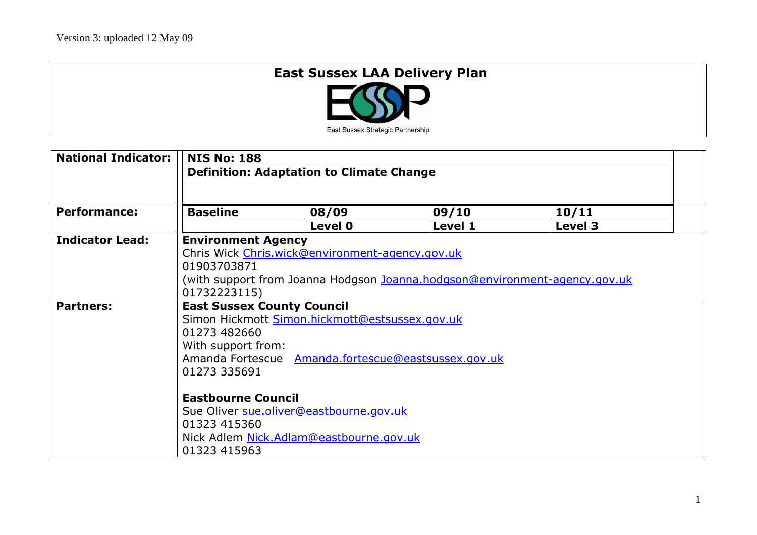## **East Sussex LAA Delivery Plan**



| <b>National Indicator:</b> | <b>NIS No: 188</b>                              |                                                 |                                                     |                                                                            |  |  |
|----------------------------|-------------------------------------------------|-------------------------------------------------|-----------------------------------------------------|----------------------------------------------------------------------------|--|--|
|                            | <b>Definition: Adaptation to Climate Change</b> |                                                 |                                                     |                                                                            |  |  |
|                            |                                                 |                                                 |                                                     |                                                                            |  |  |
| <b>Performance:</b>        | <b>Baseline</b>                                 | 08/09                                           | 09/10                                               | 10/11                                                                      |  |  |
|                            |                                                 | Level 0                                         | Level 1                                             | Level 3                                                                    |  |  |
| <b>Indicator Lead:</b>     | <b>Environment Agency</b>                       |                                                 |                                                     |                                                                            |  |  |
|                            |                                                 | Chris Wick Chris.wick@environment-agency.gov.uk |                                                     |                                                                            |  |  |
|                            | 01903703871                                     |                                                 |                                                     |                                                                            |  |  |
|                            |                                                 |                                                 |                                                     | (with support from Joanna Hodgson Joanna.hodgson@environment-agency.gov.uk |  |  |
|                            | 01732223115)                                    |                                                 |                                                     |                                                                            |  |  |
| <b>Partners:</b>           | <b>East Sussex County Council</b>               |                                                 |                                                     |                                                                            |  |  |
|                            | Simon Hickmott Simon.hickmott@estsussex.gov.uk  |                                                 |                                                     |                                                                            |  |  |
|                            | 01273 482660                                    |                                                 |                                                     |                                                                            |  |  |
|                            | With support from:                              |                                                 |                                                     |                                                                            |  |  |
|                            |                                                 |                                                 | Amanda Fortescue Amanda.fortescue@eastsussex.gov.uk |                                                                            |  |  |
|                            | 01273 335691                                    |                                                 |                                                     |                                                                            |  |  |
|                            |                                                 |                                                 |                                                     |                                                                            |  |  |
|                            | <b>Eastbourne Council</b>                       |                                                 |                                                     |                                                                            |  |  |
|                            | Sue Oliver sue.oliver@eastbourne.gov.uk         |                                                 |                                                     |                                                                            |  |  |
|                            | 01323 415360                                    |                                                 |                                                     |                                                                            |  |  |
|                            |                                                 | Nick Adlem Nick.Adlam@eastbourne.gov.uk         |                                                     |                                                                            |  |  |
|                            | 01323 415963                                    |                                                 |                                                     |                                                                            |  |  |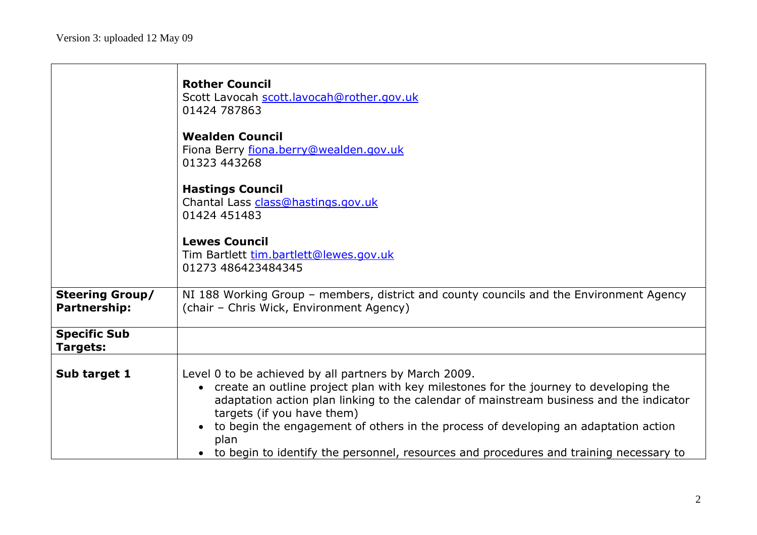$\Gamma$ 

|                                               | <b>Rother Council</b><br>Scott Lavocah scott.lavocah@rother.gov.uk<br>01424 787863                                                                                                                                                                                                                                                                                                                                                                                |
|-----------------------------------------------|-------------------------------------------------------------------------------------------------------------------------------------------------------------------------------------------------------------------------------------------------------------------------------------------------------------------------------------------------------------------------------------------------------------------------------------------------------------------|
|                                               | <b>Wealden Council</b><br>Fiona Berry fiona.berry@wealden.gov.uk<br>01323 443268                                                                                                                                                                                                                                                                                                                                                                                  |
|                                               | <b>Hastings Council</b><br>Chantal Lass class@hastings.gov.uk<br>01424 451483                                                                                                                                                                                                                                                                                                                                                                                     |
|                                               | <b>Lewes Council</b><br>Tim Bartlett tim.bartlett@lewes.gov.uk<br>01273 486423484345                                                                                                                                                                                                                                                                                                                                                                              |
| <b>Steering Group/</b><br><b>Partnership:</b> | NI 188 Working Group - members, district and county councils and the Environment Agency<br>(chair - Chris Wick, Environment Agency)                                                                                                                                                                                                                                                                                                                               |
| <b>Specific Sub</b><br><b>Targets:</b>        |                                                                                                                                                                                                                                                                                                                                                                                                                                                                   |
| Sub target 1                                  | Level 0 to be achieved by all partners by March 2009.<br>• create an outline project plan with key milestones for the journey to developing the<br>adaptation action plan linking to the calendar of mainstream business and the indicator<br>targets (if you have them)<br>to begin the engagement of others in the process of developing an adaptation action<br>plan<br>to begin to identify the personnel, resources and procedures and training necessary to |

ᄀ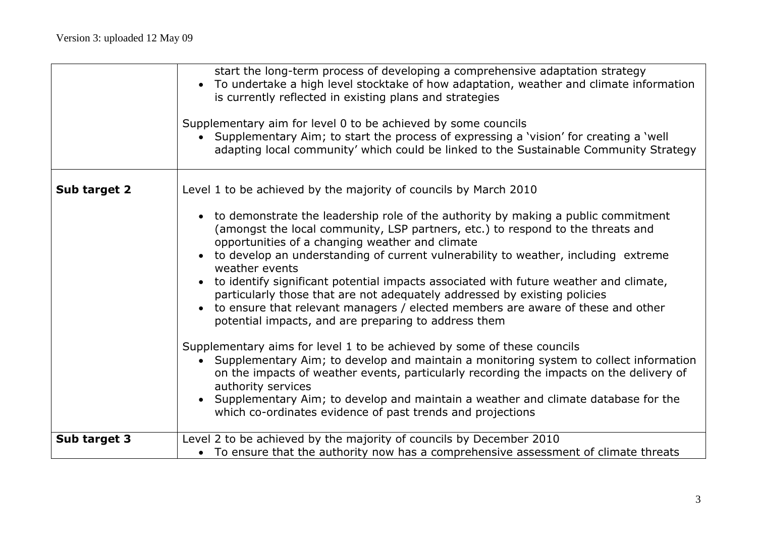|              | start the long-term process of developing a comprehensive adaptation strategy<br>• To undertake a high level stocktake of how adaptation, weather and climate information<br>is currently reflected in existing plans and strategies              |
|--------------|---------------------------------------------------------------------------------------------------------------------------------------------------------------------------------------------------------------------------------------------------|
|              | Supplementary aim for level 0 to be achieved by some councils<br>• Supplementary Aim; to start the process of expressing a 'vision' for creating a 'well<br>adapting local community' which could be linked to the Sustainable Community Strategy |
| Sub target 2 | Level 1 to be achieved by the majority of councils by March 2010                                                                                                                                                                                  |
|              | • to demonstrate the leadership role of the authority by making a public commitment<br>(amongst the local community, LSP partners, etc.) to respond to the threats and<br>opportunities of a changing weather and climate                         |
|              | • to develop an understanding of current vulnerability to weather, including extreme<br>weather events                                                                                                                                            |
|              | • to identify significant potential impacts associated with future weather and climate,<br>particularly those that are not adequately addressed by existing policies                                                                              |
|              | • to ensure that relevant managers / elected members are aware of these and other<br>potential impacts, and are preparing to address them                                                                                                         |
|              | Supplementary aims for level 1 to be achieved by some of these councils                                                                                                                                                                           |
|              | • Supplementary Aim; to develop and maintain a monitoring system to collect information<br>on the impacts of weather events, particularly recording the impacts on the delivery of<br>authority services                                          |
|              | • Supplementary Aim; to develop and maintain a weather and climate database for the<br>which co-ordinates evidence of past trends and projections                                                                                                 |
| Sub target 3 | Level 2 to be achieved by the majority of councils by December 2010<br>• To ensure that the authority now has a comprehensive assessment of climate threats                                                                                       |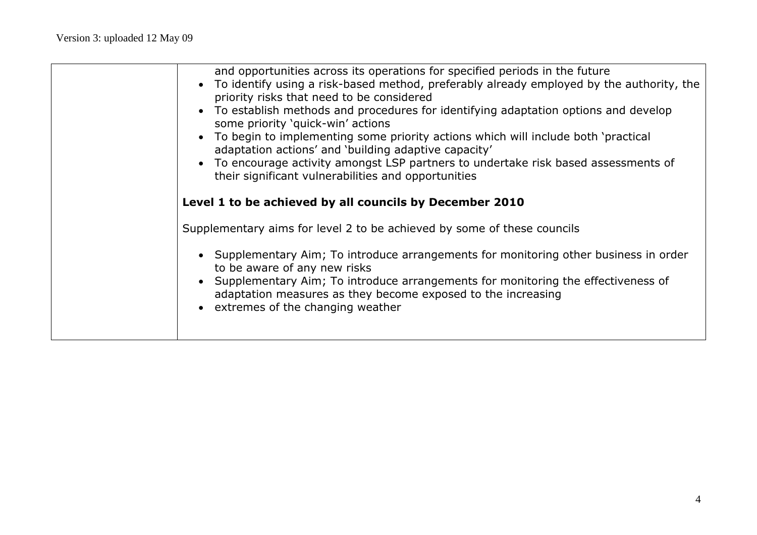| and opportunities across its operations for specified periods in the future<br>To identify using a risk-based method, preferably already employed by the authority, the<br>priority risks that need to be considered<br>• To establish methods and procedures for identifying adaptation options and develop<br>some priority 'quick-win' actions<br>• To begin to implementing some priority actions which will include both 'practical<br>adaptation actions' and 'building adaptive capacity'<br>• To encourage activity amongst LSP partners to undertake risk based assessments of<br>their significant vulnerabilities and opportunities |
|------------------------------------------------------------------------------------------------------------------------------------------------------------------------------------------------------------------------------------------------------------------------------------------------------------------------------------------------------------------------------------------------------------------------------------------------------------------------------------------------------------------------------------------------------------------------------------------------------------------------------------------------|
| Level 1 to be achieved by all councils by December 2010                                                                                                                                                                                                                                                                                                                                                                                                                                                                                                                                                                                        |
| Supplementary aims for level 2 to be achieved by some of these councils                                                                                                                                                                                                                                                                                                                                                                                                                                                                                                                                                                        |
| • Supplementary Aim; To introduce arrangements for monitoring other business in order<br>to be aware of any new risks<br>Supplementary Aim; To introduce arrangements for monitoring the effectiveness of<br>adaptation measures as they become exposed to the increasing<br>• extremes of the changing weather                                                                                                                                                                                                                                                                                                                                |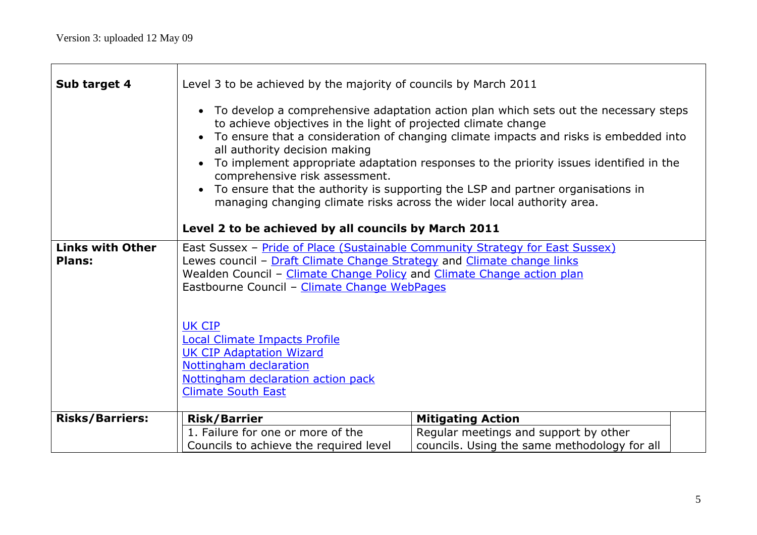Г

| Sub target 4                             | Level 3 to be achieved by the majority of councils by March 2011                                                                                                                                                                                                                                                                                                                                                                                                                                                                                                                                                                      |                                              |  |  |  |  |
|------------------------------------------|---------------------------------------------------------------------------------------------------------------------------------------------------------------------------------------------------------------------------------------------------------------------------------------------------------------------------------------------------------------------------------------------------------------------------------------------------------------------------------------------------------------------------------------------------------------------------------------------------------------------------------------|----------------------------------------------|--|--|--|--|
|                                          | • To develop a comprehensive adaptation action plan which sets out the necessary steps<br>to achieve objectives in the light of projected climate change<br>• To ensure that a consideration of changing climate impacts and risks is embedded into<br>all authority decision making<br>To implement appropriate adaptation responses to the priority issues identified in the<br>comprehensive risk assessment.<br>To ensure that the authority is supporting the LSP and partner organisations in<br>managing changing climate risks across the wider local authority area.<br>Level 2 to be achieved by all councils by March 2011 |                                              |  |  |  |  |
| <b>Links with Other</b><br><b>Plans:</b> | East Sussex - Pride of Place (Sustainable Community Strategy for East Sussex)                                                                                                                                                                                                                                                                                                                                                                                                                                                                                                                                                         |                                              |  |  |  |  |
|                                          | Lewes council - Draft Climate Change Strategy and Climate change links<br>Wealden Council - Climate Change Policy and Climate Change action plan                                                                                                                                                                                                                                                                                                                                                                                                                                                                                      |                                              |  |  |  |  |
|                                          | Eastbourne Council - Climate Change WebPages                                                                                                                                                                                                                                                                                                                                                                                                                                                                                                                                                                                          |                                              |  |  |  |  |
|                                          |                                                                                                                                                                                                                                                                                                                                                                                                                                                                                                                                                                                                                                       |                                              |  |  |  |  |
|                                          | <b>UK CIP</b>                                                                                                                                                                                                                                                                                                                                                                                                                                                                                                                                                                                                                         |                                              |  |  |  |  |
|                                          | <b>Local Climate Impacts Profile</b><br><b>UK CIP Adaptation Wizard</b>                                                                                                                                                                                                                                                                                                                                                                                                                                                                                                                                                               |                                              |  |  |  |  |
|                                          | Nottingham declaration                                                                                                                                                                                                                                                                                                                                                                                                                                                                                                                                                                                                                |                                              |  |  |  |  |
|                                          | Nottingham declaration action pack                                                                                                                                                                                                                                                                                                                                                                                                                                                                                                                                                                                                    |                                              |  |  |  |  |
|                                          | <b>Climate South East</b>                                                                                                                                                                                                                                                                                                                                                                                                                                                                                                                                                                                                             |                                              |  |  |  |  |
| <b>Risks/Barriers:</b>                   | <b>Risk/Barrier</b>                                                                                                                                                                                                                                                                                                                                                                                                                                                                                                                                                                                                                   | <b>Mitigating Action</b>                     |  |  |  |  |
|                                          | 1. Failure for one or more of the                                                                                                                                                                                                                                                                                                                                                                                                                                                                                                                                                                                                     | Regular meetings and support by other        |  |  |  |  |
|                                          | Councils to achieve the required level                                                                                                                                                                                                                                                                                                                                                                                                                                                                                                                                                                                                | councils. Using the same methodology for all |  |  |  |  |

ᄀ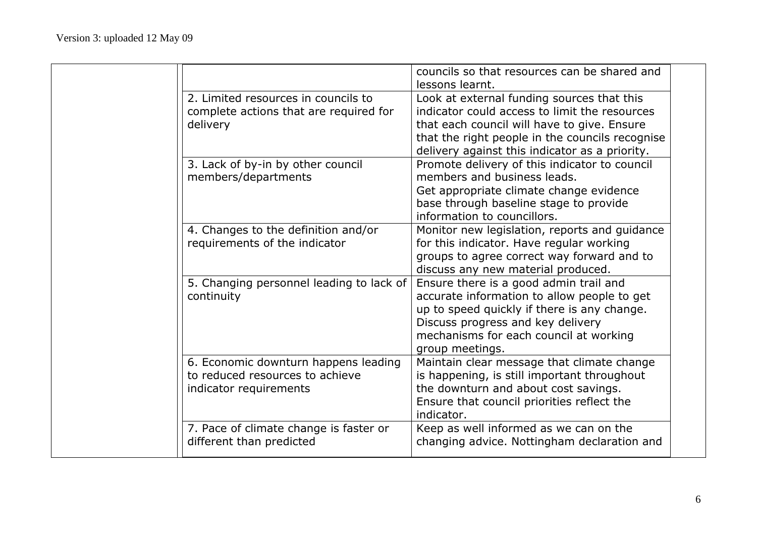|                                                                                                   | councils so that resources can be shared and<br>lessons learnt.                                                                                                                                                                                 |  |
|---------------------------------------------------------------------------------------------------|-------------------------------------------------------------------------------------------------------------------------------------------------------------------------------------------------------------------------------------------------|--|
| 2. Limited resources in councils to<br>complete actions that are required for<br>delivery         | Look at external funding sources that this<br>indicator could access to limit the resources<br>that each council will have to give. Ensure<br>that the right people in the councils recognise<br>delivery against this indicator as a priority. |  |
| 3. Lack of by-in by other council<br>members/departments                                          | Promote delivery of this indicator to council<br>members and business leads.<br>Get appropriate climate change evidence<br>base through baseline stage to provide<br>information to councillors.                                                |  |
| 4. Changes to the definition and/or<br>requirements of the indicator                              | Monitor new legislation, reports and guidance<br>for this indicator. Have regular working<br>groups to agree correct way forward and to<br>discuss any new material produced.                                                                   |  |
| 5. Changing personnel leading to lack of<br>continuity                                            | Ensure there is a good admin trail and<br>accurate information to allow people to get<br>up to speed quickly if there is any change.<br>Discuss progress and key delivery<br>mechanisms for each council at working<br>group meetings.          |  |
| 6. Economic downturn happens leading<br>to reduced resources to achieve<br>indicator requirements | Maintain clear message that climate change<br>is happening, is still important throughout<br>the downturn and about cost savings.<br>Ensure that council priorities reflect the<br>indicator.                                                   |  |
| 7. Pace of climate change is faster or<br>different than predicted                                | Keep as well informed as we can on the<br>changing advice. Nottingham declaration and                                                                                                                                                           |  |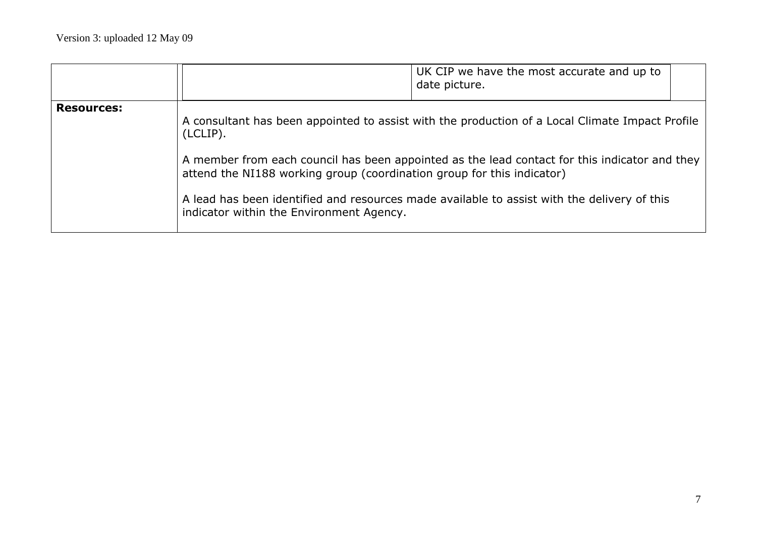|                   |                                                                                                                                | UK CIP we have the most accurate and up to<br>date picture.                                                                                                                                                                                                                                     |
|-------------------|--------------------------------------------------------------------------------------------------------------------------------|-------------------------------------------------------------------------------------------------------------------------------------------------------------------------------------------------------------------------------------------------------------------------------------------------|
| <b>Resources:</b> | (LCLIP).<br>attend the NI188 working group (coordination group for this indicator)<br>indicator within the Environment Agency. | A consultant has been appointed to assist with the production of a Local Climate Impact Profile<br>A member from each council has been appointed as the lead contact for this indicator and they<br>A lead has been identified and resources made available to assist with the delivery of this |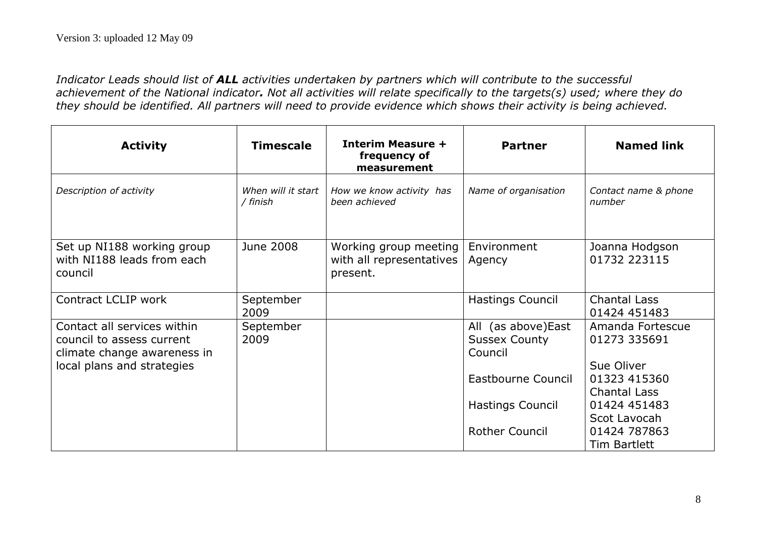*Indicator Leads should list of ALL activities undertaken by partners which will contribute to the successful achievement of the National indicator. Not all activities will relate specifically to the targets(s) used; where they do they should be identified. All partners will need to provide evidence which shows their activity is being achieved.*

| <b>Activity</b>                                                                                                       | <b>Timescale</b>               | <b>Interim Measure +</b><br>frequency of<br>measurement       | <b>Partner</b>                                         | <b>Named link</b>                              |
|-----------------------------------------------------------------------------------------------------------------------|--------------------------------|---------------------------------------------------------------|--------------------------------------------------------|------------------------------------------------|
| Description of activity                                                                                               | When will it start<br>/ finish | How we know activity has<br>been achieved                     | Name of organisation                                   | Contact name & phone<br>number                 |
| Set up NI188 working group<br>with NI188 leads from each<br>council                                                   | June 2008                      | Working group meeting<br>with all representatives<br>present. | Environment<br>Agency                                  | Joanna Hodgson<br>01732 223115                 |
| Contract LCLIP work                                                                                                   | September<br>2009              |                                                               | <b>Hastings Council</b>                                | <b>Chantal Lass</b><br>01424 451483            |
| Contact all services within<br>council to assess current<br>climate change awareness in<br>local plans and strategies | September<br>2009              |                                                               | All (as above) East<br><b>Sussex County</b><br>Council | Amanda Fortescue<br>01273 335691<br>Sue Oliver |
|                                                                                                                       |                                |                                                               | Eastbourne Council                                     | 01323 415360<br>Chantal Lass                   |
|                                                                                                                       |                                |                                                               | <b>Hastings Council</b>                                | 01424 451483<br>Scot Lavocah                   |
|                                                                                                                       |                                |                                                               | <b>Rother Council</b>                                  | 01424 787863<br>Tim Bartlett                   |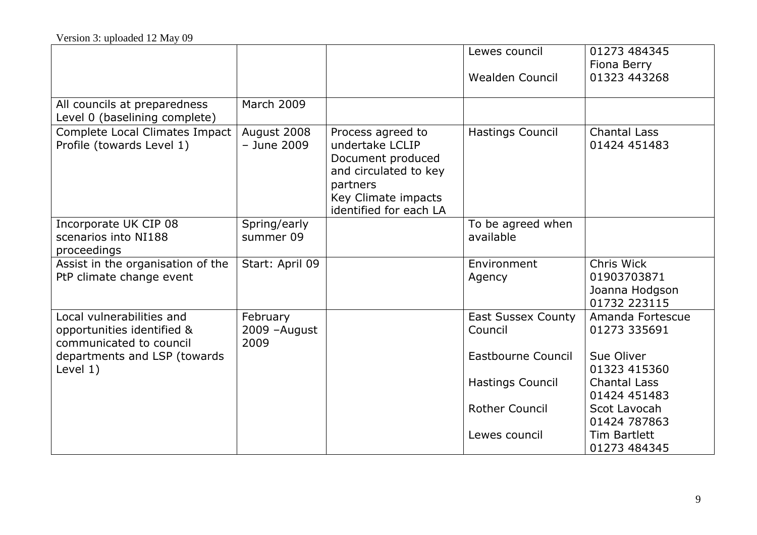|                                                                                    |                                   |                                                                                                                                                 | Lewes council<br>Wealden Council     | 01273 484345<br>Fiona Berry<br>01323 443268                 |
|------------------------------------------------------------------------------------|-----------------------------------|-------------------------------------------------------------------------------------------------------------------------------------------------|--------------------------------------|-------------------------------------------------------------|
| All councils at preparedness<br>Level 0 (baselining complete)                      | <b>March 2009</b>                 |                                                                                                                                                 |                                      |                                                             |
| Complete Local Climates Impact<br>Profile (towards Level 1)                        | August 2008<br>- June 2009        | Process agreed to<br>undertake LCLIP<br>Document produced<br>and circulated to key<br>partners<br>Key Climate impacts<br>identified for each LA | <b>Hastings Council</b>              | <b>Chantal Lass</b><br>01424 451483                         |
| Incorporate UK CIP 08<br>scenarios into NI188<br>proceedings                       | Spring/early<br>summer 09         |                                                                                                                                                 | To be agreed when<br>available       |                                                             |
| Assist in the organisation of the<br>PtP climate change event                      | Start: April 09                   |                                                                                                                                                 | Environment<br>Agency                | Chris Wick<br>01903703871<br>Joanna Hodgson<br>01732 223115 |
| Local vulnerabilities and<br>opportunities identified &<br>communicated to council | February<br>2009 - August<br>2009 |                                                                                                                                                 | <b>East Sussex County</b><br>Council | Amanda Fortescue<br>01273 335691                            |
| departments and LSP (towards<br>Level 1)                                           |                                   |                                                                                                                                                 | Eastbourne Council                   | Sue Oliver<br>01323 415360                                  |
|                                                                                    |                                   |                                                                                                                                                 | <b>Hastings Council</b>              | <b>Chantal Lass</b><br>01424 451483                         |
|                                                                                    |                                   |                                                                                                                                                 | <b>Rother Council</b>                | Scot Lavocah<br>01424 787863                                |
|                                                                                    |                                   |                                                                                                                                                 | Lewes council                        | <b>Tim Bartlett</b><br>01273 484345                         |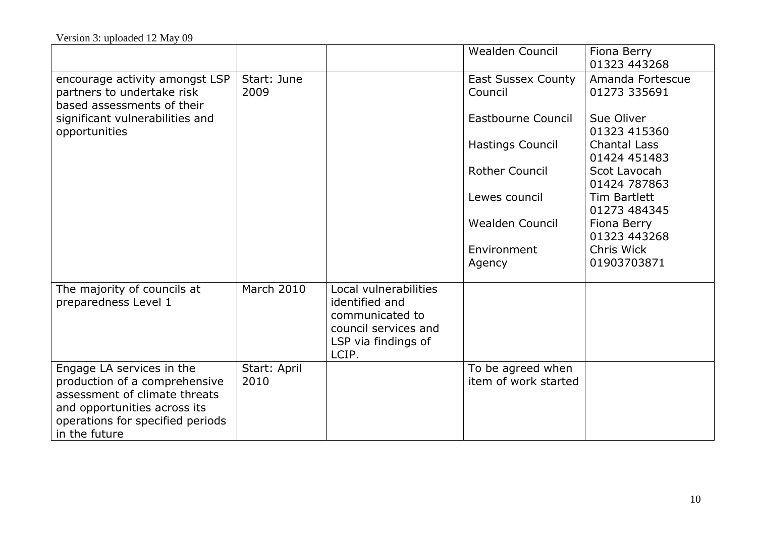|                                                                                                                                                                                  |                      |                                                                                                                    | <b>Wealden Council</b>                    | Fiona Berry<br>01323 443268         |
|----------------------------------------------------------------------------------------------------------------------------------------------------------------------------------|----------------------|--------------------------------------------------------------------------------------------------------------------|-------------------------------------------|-------------------------------------|
| encourage activity amongst LSP<br>partners to undertake risk<br>based assessments of their                                                                                       | Start: June<br>2009  |                                                                                                                    | <b>East Sussex County</b><br>Council      | Amanda Fortescue<br>01273 335691    |
| significant vulnerabilities and<br>opportunities                                                                                                                                 |                      |                                                                                                                    | <b>Eastbourne Council</b>                 | Sue Oliver<br>01323 415360          |
|                                                                                                                                                                                  |                      |                                                                                                                    | Hastings Council                          | <b>Chantal Lass</b><br>01424 451483 |
|                                                                                                                                                                                  |                      |                                                                                                                    | <b>Rother Council</b>                     | Scot Lavocah<br>01424 787863        |
|                                                                                                                                                                                  |                      |                                                                                                                    | Lewes council                             | <b>Tim Bartlett</b><br>01273 484345 |
|                                                                                                                                                                                  |                      |                                                                                                                    | <b>Wealden Council</b>                    | Fiona Berry<br>01323 443268         |
|                                                                                                                                                                                  |                      |                                                                                                                    | Environment<br>Agency                     | Chris Wick<br>01903703871           |
| The majority of councils at<br>preparedness Level 1                                                                                                                              | <b>March 2010</b>    | Local vulnerabilities<br>identified and<br>communicated to<br>council services and<br>LSP via findings of<br>LCIP. |                                           |                                     |
| Engage LA services in the<br>production of a comprehensive<br>assessment of climate threats<br>and opportunities across its<br>operations for specified periods<br>in the future | Start: April<br>2010 |                                                                                                                    | To be agreed when<br>item of work started |                                     |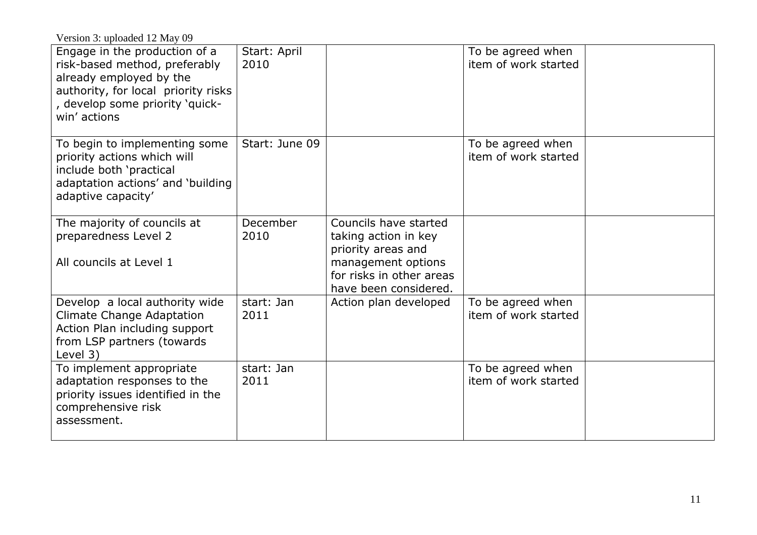Version 3: uploaded 12 May 09

| Engage in the production of a<br>risk-based method, preferably<br>already employed by the<br>authority, for local priority risks<br>, develop some priority 'quick-<br>win' actions | Start: April<br>2010 |                                                                                                                                                | To be agreed when<br>item of work started |  |
|-------------------------------------------------------------------------------------------------------------------------------------------------------------------------------------|----------------------|------------------------------------------------------------------------------------------------------------------------------------------------|-------------------------------------------|--|
| To begin to implementing some<br>priority actions which will<br>include both 'practical<br>adaptation actions' and 'building<br>adaptive capacity'                                  | Start: June 09       |                                                                                                                                                | To be agreed when<br>item of work started |  |
| The majority of councils at<br>preparedness Level 2<br>All councils at Level 1                                                                                                      | December<br>2010     | Councils have started<br>taking action in key<br>priority areas and<br>management options<br>for risks in other areas<br>have been considered. |                                           |  |
| Develop a local authority wide<br><b>Climate Change Adaptation</b><br>Action Plan including support<br>from LSP partners (towards<br>Level 3)                                       | start: Jan<br>2011   | Action plan developed                                                                                                                          | To be agreed when<br>item of work started |  |
| To implement appropriate<br>adaptation responses to the<br>priority issues identified in the<br>comprehensive risk<br>assessment.                                                   | start: Jan<br>2011   |                                                                                                                                                | To be agreed when<br>item of work started |  |